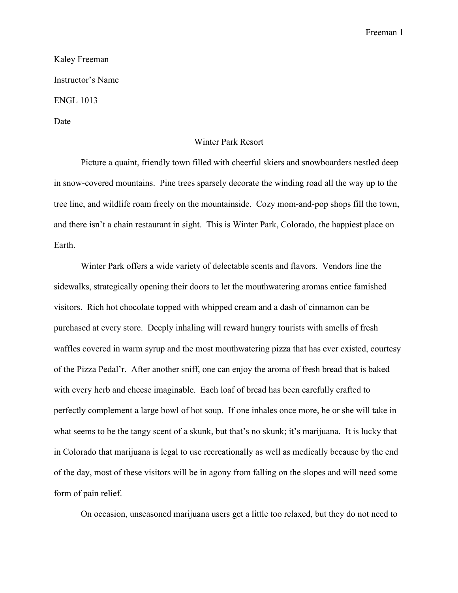Freeman 1

Kaley Freeman Instructor's Name ENGL 1013 Date

## Winter Park Resort

Picture a quaint, friendly town filled with cheerful skiers and snowboarders nestled deep in snow-covered mountains. Pine trees sparsely decorate the winding road all the way up to the tree line, and wildlife roam freely on the mountainside. Cozy mom-and-pop shops fill the town, and there isn't a chain restaurant in sight. This is Winter Park, Colorado, the happiest place on Earth.

Winter Park offers a wide variety of delectable scents and flavors. Vendors line the sidewalks, strategically opening their doors to let the mouthwatering aromas entice famished visitors. Rich hot chocolate topped with whipped cream and a dash of cinnamon can be purchased at every store. Deeply inhaling will reward hungry tourists with smells of fresh waffles covered in warm syrup and the most mouthwatering pizza that has ever existed, courtesy of the Pizza Pedal'r. After another sniff, one can enjoy the aroma of fresh bread that is baked with every herb and cheese imaginable. Each loaf of bread has been carefully crafted to perfectly complement a large bowl of hot soup. If one inhales once more, he or she will take in what seems to be the tangy scent of a skunk, but that's no skunk; it's marijuana. It is lucky that in Colorado that marijuana is legal to use recreationally as well as medically because by the end of the day, most of these visitors will be in agony from falling on the slopes and will need some form of pain relief.

On occasion, unseasoned marijuana users get a little too relaxed, but they do not need to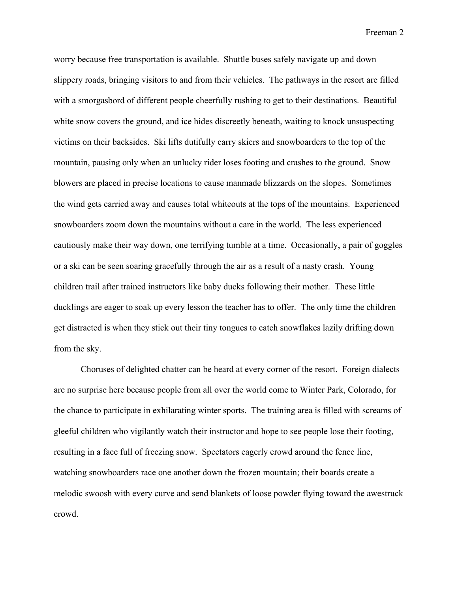Freeman 2

worry because free transportation is available. Shuttle buses safely navigate up and down slippery roads, bringing visitors to and from their vehicles. The pathways in the resort are filled with a smorgasbord of different people cheerfully rushing to get to their destinations. Beautiful white snow covers the ground, and ice hides discreetly beneath, waiting to knock unsuspecting victims on their backsides. Ski lifts dutifully carry skiers and snowboarders to the top of the mountain, pausing only when an unlucky rider loses footing and crashes to the ground. Snow blowers are placed in precise locations to cause manmade blizzards on the slopes. Sometimes the wind gets carried away and causes total whiteouts at the tops of the mountains. Experienced snowboarders zoom down the mountains without a care in the world. The less experienced cautiously make their way down, one terrifying tumble at a time. Occasionally, a pair of goggles or a ski can be seen soaring gracefully through the air as a result of a nasty crash. Young children trail after trained instructors like baby ducks following their mother. These little ducklings are eager to soak up every lesson the teacher has to offer. The only time the children get distracted is when they stick out their tiny tongues to catch snowflakes lazily drifting down from the sky.

Choruses of delighted chatter can be heard at every corner of the resort. Foreign dialects are no surprise here because people from all over the world come to Winter Park, Colorado, for the chance to participate in exhilarating winter sports. The training area is filled with screams of gleeful children who vigilantly watch their instructor and hope to see people lose their footing, resulting in a face full of freezing snow. Spectators eagerly crowd around the fence line, watching snowboarders race one another down the frozen mountain; their boards create a melodic swoosh with every curve and send blankets of loose powder flying toward the awestruck crowd.